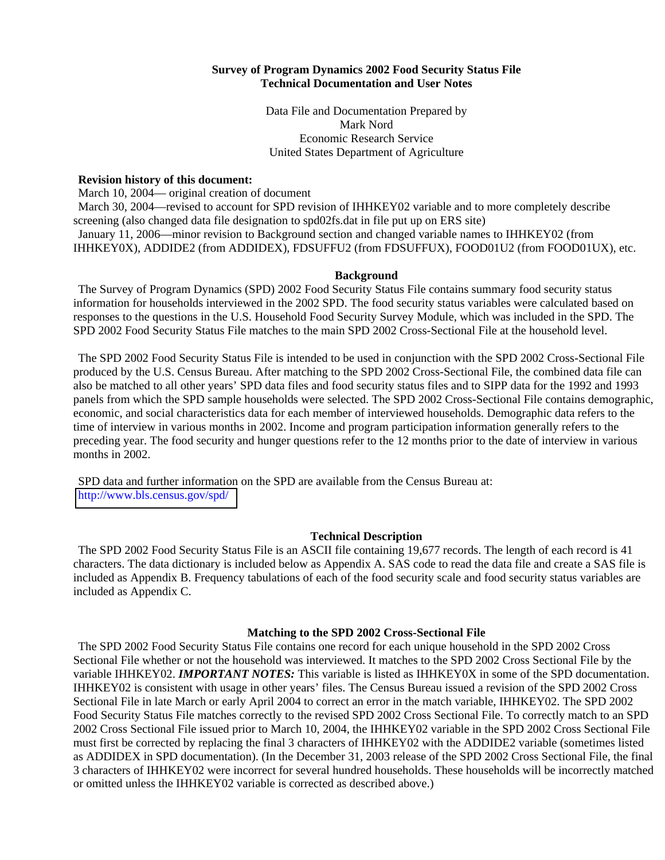#### **Survey of Program Dynamics 2002 Food Security Status File Technical Documentation and User Notes**

Data File and Documentation Prepared by Mark Nord Economic Research Service United States Department of Agriculture

#### **Revision history of this document:**

March 10, 2004— original creation of document March 30, 2004—revised to account for SPD revision of IHHKEY02 variable and to more completely describe screening (also changed data file designation to spd02fs.dat in file put up on ERS site) January 11, 2006—minor revision to Background section and changed variable names to IHHKEY02 (from IHHKEY0X), ADDIDE2 (from ADDIDEX), FDSUFFU2 (from FDSUFFUX), FOOD01U2 (from FOOD01UX), etc.

#### **Background**

The Survey of Program Dynamics (SPD) 2002 Food Security Status File contains summary food security status information for households interviewed in the 2002 SPD. The food security status variables were calculated based on responses to the questions in the U.S. Household Food Security Survey Module, which was included in the SPD. The SPD 2002 Food Security Status File matches to the main SPD 2002 Cross-Sectional File at the household level.

The SPD 2002 Food Security Status File is intended to be used in conjunction with the SPD 2002 Cross-Sectional File produced by the U.S. Census Bureau. After matching to the SPD 2002 Cross-Sectional File, the combined data file can also be matched to all other years' SPD data files and food security status files and to SIPP data for the 1992 and 1993 panels from which the SPD sample households were selected. The SPD 2002 Cross-Sectional File contains demographic, economic, and social characteristics data for each member of interviewed households. Demographic data refers to the time of interview in various months in 2002. Income and program participation information generally refers to the preceding year. The food security and hunger questions refer to the 12 months prior to the date of interview in various months in 2002.

SPD data and further information on the SPD are available from the Census Bureau at: <http://www.bls.census.gov/spd/>

# **Technical Description**

The SPD 2002 Food Security Status File is an ASCII file containing 19,677 records. The length of each record is 41 characters. The data dictionary is included below as Appendix A. SAS code to read the data file and create a SAS file is included as Appendix B. Frequency tabulations of each of the food security scale and food security status variables are included as Appendix C.

# **Matching to the SPD 2002 Cross-Sectional File**

The SPD 2002 Food Security Status File contains one record for each unique household in the SPD 2002 Cross Sectional File whether or not the household was interviewed. It matches to the SPD 2002 Cross Sectional File by the variable IHHKEY02. *IMPORTANT NOTES:* This variable is listed as IHHKEY0X in some of the SPD documentation. IHHKEY02 is consistent with usage in other years' files. The Census Bureau issued a revision of the SPD 2002 Cross Sectional File in late March or early April 2004 to correct an error in the match variable, IHHKEY02. The SPD 2002 Food Security Status File matches correctly to the revised SPD 2002 Cross Sectional File. To correctly match to an SPD 2002 Cross Sectional File issued prior to March 10, 2004, the IHHKEY02 variable in the SPD 2002 Cross Sectional File must first be corrected by replacing the final 3 characters of IHHKEY02 with the ADDIDE2 variable (sometimes listed as ADDIDEX in SPD documentation). (In the December 31, 2003 release of the SPD 2002 Cross Sectional File, the final 3 characters of IHHKEY02 were incorrect for several hundred households. These households will be incorrectly matched or omitted unless the IHHKEY02 variable is corrected as described above.)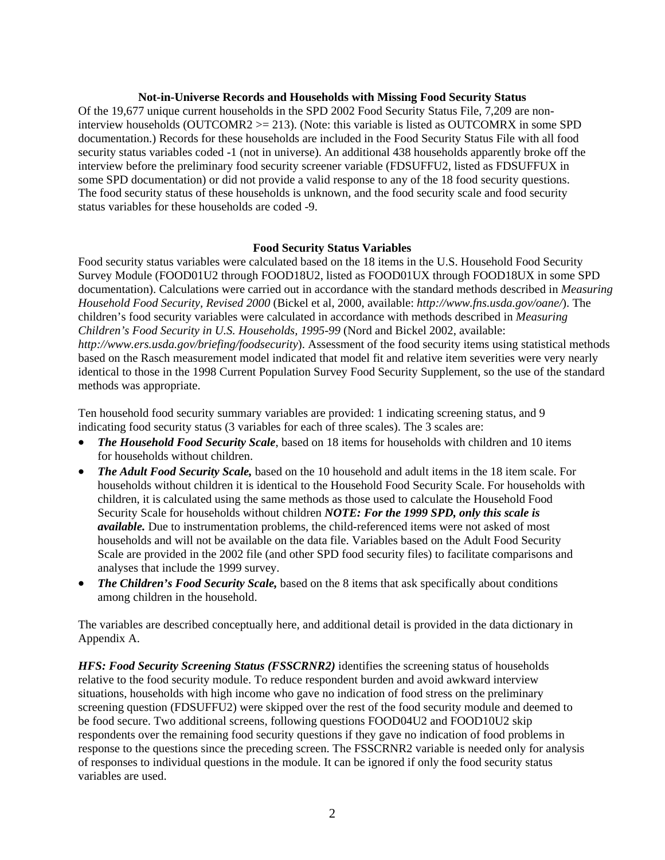#### **Not-in-Universe Records and Households with Missing Food Security Status**

Of the 19,677 unique current households in the SPD 2002 Food Security Status File, 7,209 are noninterview households (OUTCOMR2  $>= 213$ ). (Note: this variable is listed as OUTCOMRX in some SPD documentation.) Records for these households are included in the Food Security Status File with all food security status variables coded -1 (not in universe). An additional 438 households apparently broke off the interview before the preliminary food security screener variable (FDSUFFU2, listed as FDSUFFUX in some SPD documentation) or did not provide a valid response to any of the 18 food security questions. The food security status of these households is unknown, and the food security scale and food security status variables for these households are coded -9.

## **Food Security Status Variables**

Food security status variables were calculated based on the 18 items in the U.S. Household Food Security Survey Module (FOOD01U2 through FOOD18U2, listed as FOOD01UX through FOOD18UX in some SPD documentation). Calculations were carried out in accordance with the standard methods described in *Measuring Household Food Security, Revised 2000* (Bickel et al, 2000, available: *http://www.fns.usda.gov/oane/*). The children's food security variables were calculated in accordance with methods described in *Measuring Children's Food Security in U.S. Households, 1995-99* (Nord and Bickel 2002, available: *http://www.ers.usda.gov/briefing/foodsecurity*). Assessment of the food security items using statistical methods based on the Rasch measurement model indicated that model fit and relative item severities were very nearly identical to those in the 1998 Current Population Survey Food Security Supplement, so the use of the standard methods was appropriate.

Ten household food security summary variables are provided: 1 indicating screening status, and 9 indicating food security status (3 variables for each of three scales). The 3 scales are:

- *The Household Food Security Scale*, based on 18 items for households with children and 10 items for households without children.
- *The Adult Food Security Scale,* based on the 10 household and adult items in the 18 item scale. For households without children it is identical to the Household Food Security Scale. For households with children, it is calculated using the same methods as those used to calculate the Household Food Security Scale for households without children *NOTE: For the 1999 SPD, only this scale is available.* Due to instrumentation problems, the child-referenced items were not asked of most households and will not be available on the data file. Variables based on the Adult Food Security Scale are provided in the 2002 file (and other SPD food security files) to facilitate comparisons and analyses that include the 1999 survey.
- *The Children's Food Security Scale,* based on the 8 items that ask specifically about conditions among children in the household.

The variables are described conceptually here, and additional detail is provided in the data dictionary in Appendix A.

*HFS: Food Security Screening Status (FSSCRNR2)* identifies the screening status of households relative to the food security module. To reduce respondent burden and avoid awkward interview situations, households with high income who gave no indication of food stress on the preliminary screening question (FDSUFFU2) were skipped over the rest of the food security module and deemed to be food secure. Two additional screens, following questions FOOD04U2 and FOOD10U2 skip respondents over the remaining food security questions if they gave no indication of food problems in response to the questions since the preceding screen. The FSSCRNR2 variable is needed only for analysis of responses to individual questions in the module. It can be ignored if only the food security status variables are used.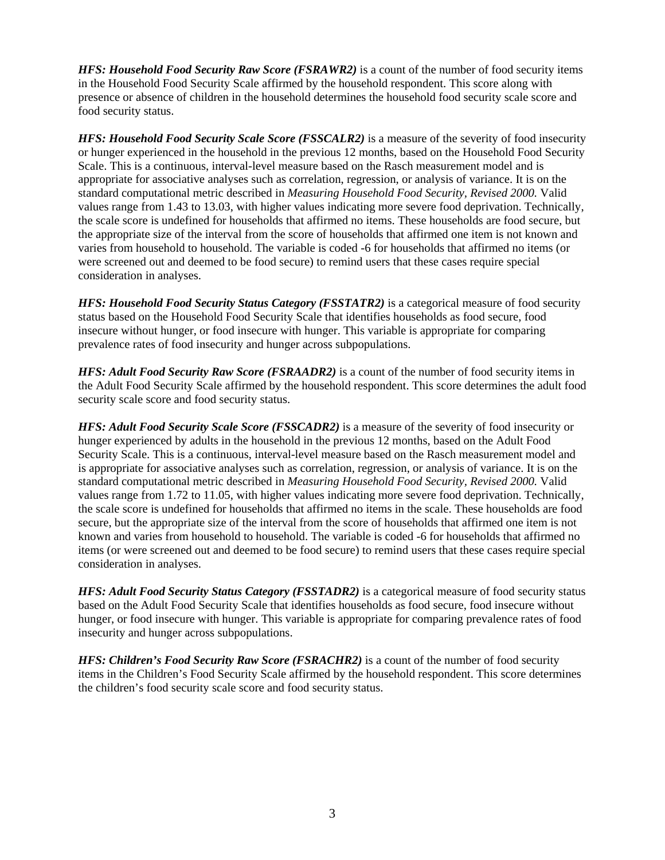*HFS: Household Food Security Raw Score (FSRAWR2)* is a count of the number of food security items in the Household Food Security Scale affirmed by the household respondent. This score along with presence or absence of children in the household determines the household food security scale score and food security status.

*HFS: Household Food Security Scale Score (FSSCALR2)* is a measure of the severity of food insecurity or hunger experienced in the household in the previous 12 months, based on the Household Food Security Scale. This is a continuous, interval-level measure based on the Rasch measurement model and is appropriate for associative analyses such as correlation, regression, or analysis of variance. It is on the standard computational metric described in *Measuring Household Food Security, Revised 2000.* Valid values range from 1.43 to 13.03, with higher values indicating more severe food deprivation. Technically, the scale score is undefined for households that affirmed no items. These households are food secure, but the appropriate size of the interval from the score of households that affirmed one item is not known and varies from household to household. The variable is coded -6 for households that affirmed no items (or were screened out and deemed to be food secure) to remind users that these cases require special consideration in analyses.

*HFS: Household Food Security Status Category (FSSTATR2)* is a categorical measure of food security status based on the Household Food Security Scale that identifies households as food secure, food insecure without hunger, or food insecure with hunger. This variable is appropriate for comparing prevalence rates of food insecurity and hunger across subpopulations.

*HFS: Adult Food Security Raw Score (FSRAADR2)* is a count of the number of food security items in the Adult Food Security Scale affirmed by the household respondent. This score determines the adult food security scale score and food security status.

*HFS: Adult Food Security Scale Score (FSSCADR2)* is a measure of the severity of food insecurity or hunger experienced by adults in the household in the previous 12 months, based on the Adult Food Security Scale. This is a continuous, interval-level measure based on the Rasch measurement model and is appropriate for associative analyses such as correlation, regression, or analysis of variance. It is on the standard computational metric described in *Measuring Household Food Security, Revised 2000.* Valid values range from 1.72 to 11.05, with higher values indicating more severe food deprivation. Technically, the scale score is undefined for households that affirmed no items in the scale. These households are food secure, but the appropriate size of the interval from the score of households that affirmed one item is not known and varies from household to household. The variable is coded -6 for households that affirmed no items (or were screened out and deemed to be food secure) to remind users that these cases require special consideration in analyses.

*HFS: Adult Food Security Status Category (FSSTADR2)* is a categorical measure of food security status based on the Adult Food Security Scale that identifies households as food secure, food insecure without hunger, or food insecure with hunger. This variable is appropriate for comparing prevalence rates of food insecurity and hunger across subpopulations.

*HFS: Children's Food Security Raw Score (FSRACHR2)* is a count of the number of food security items in the Children's Food Security Scale affirmed by the household respondent. This score determines the children's food security scale score and food security status.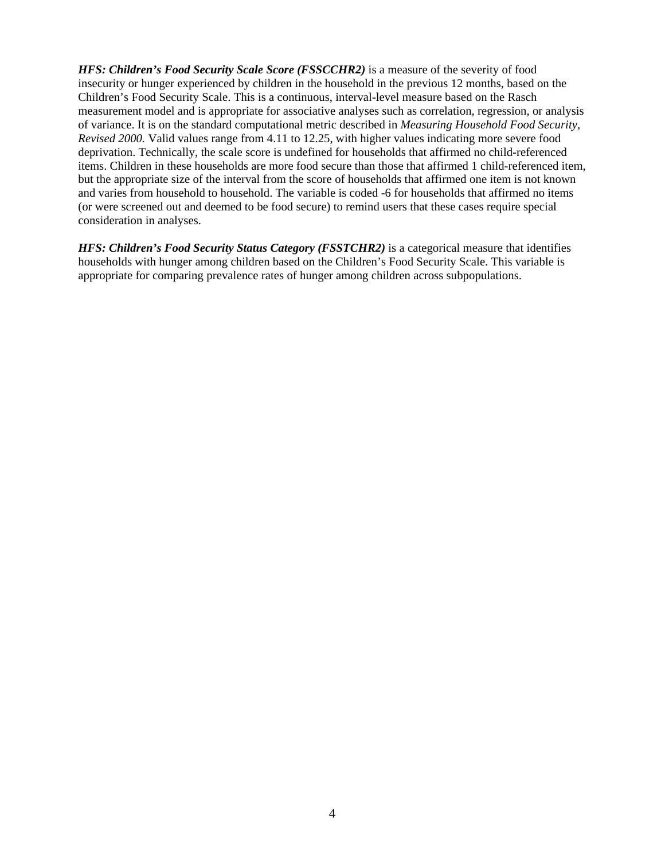*HFS: Children's Food Security Scale Score (FSSCCHR2)* is a measure of the severity of food insecurity or hunger experienced by children in the household in the previous 12 months, based on the Children's Food Security Scale. This is a continuous, interval-level measure based on the Rasch measurement model and is appropriate for associative analyses such as correlation, regression, or analysis of variance. It is on the standard computational metric described in *Measuring Household Food Security, Revised 2000.* Valid values range from 4.11 to 12.25, with higher values indicating more severe food deprivation. Technically, the scale score is undefined for households that affirmed no child-referenced items. Children in these households are more food secure than those that affirmed 1 child-referenced item, but the appropriate size of the interval from the score of households that affirmed one item is not known and varies from household to household. The variable is coded -6 for households that affirmed no items (or were screened out and deemed to be food secure) to remind users that these cases require special consideration in analyses.

*HFS: Children's Food Security Status Category (FSSTCHR2)* is a categorical measure that identifies households with hunger among children based on the Children's Food Security Scale. This variable is appropriate for comparing prevalence rates of hunger among children across subpopulations.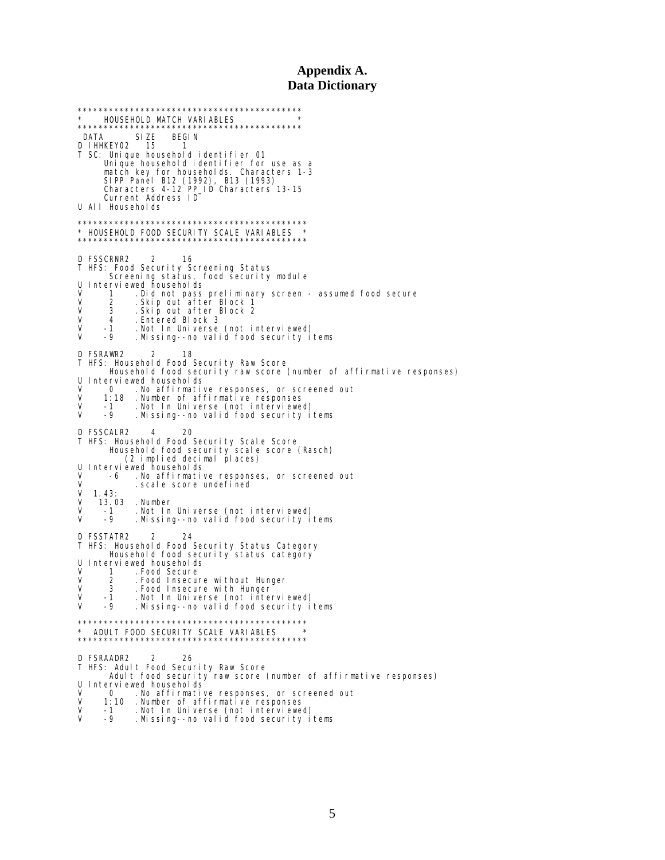# **Appendix A. Data Dictionary**

\*\*\*\*\*\*\*\*\*\*\*\*\*\*\*\*\*\*\*\*\*\*\*\*\*\*\*\*\*\*\*\*\*\*\*\*\*\*\*\*\*\*\* \* HOUSEHOLD MATCH VARIABLES \* \*\*\*\*\*\*\*\*\*\*\*\*\*\*\*\*\*\*\*\*\*\*\*\*\*\*\*\*\*\*\*\*\*\*\*\*\*\*\*\*\*\*\* DATA SIZE BEGIN D IHHKEY02 15 1 T SC: Unique household identifier 01 Unique household identifier for use as a match key for households. Characters 1-3 SIPP Panel B12 (1992), B13 (1993) Characters 4-12 PP\_ID Characters 13-15 Current Address ID U All Households \*\*\*\*\*\*\*\*\*\*\*\*\*\*\*\*\*\*\*\*\*\*\*\*\*\*\*\*\*\*\*\*\*\*\*\*\*\*\*\*\*\*\*\* \* HOUSEHOLD FOOD SECURITY SCALE VARIABLES \* \*\*\*\*\*\*\*\*\*\*\*\*\*\*\*\*\*\*\*\*\*\*\*\*\*\*\*\*\*\*\*\*\*\*\*\*\*\*\*\*\*\*\*\* D FSSCRNR2 2 16 T HFS: Food Security Screening Status Screening status, food security module U Interviewed households V 1 .Did not pass preliminary screen - assumed food secure V 2 .Skip out after Block 1 V 3 .Skip out after Block 2 V 4 .Entered Block 3 V -1 .Not In Universe (not interviewed) V -9 .Missing--no valid food security items D FSRAWR2 2 18 T HFS: Household Food Security Raw Score Household food security raw score (number of affirmative responses) U Interviewed households<br>V 0 No affirmative V 0 .No affirmative responses, or screened out V 1:18 .Number of affirmative responses V -1 .Not In Universe (not interviewed) V -9 .Missing--no valid food security items D FSSCALR2 4 20 T HFS: Household Food Security Scale Score Household food security scale score (Rasch) (2 implied decimal places) U Interviewed households<br>V -6 No affirmativ V -6 .No affirmative responses, or screened out V . scale score undefined<br>V 1.43:  $V$  1.43:<br> $V$  13.0 V 13.03 .Number V -1 .Not In Universe (not interviewed) V -9 .Missing--no valid food security items D FSSTATR2 2 24 T HFS: Household Food Security Status Category Household food security status category U Interviewed households<br>V 1 Food Secure<br>V 2 Food Insecure V 1 .Food Secure V 2 .Food Insecure without Hunger V 3 .Food Insecure with Hunger V -1 .Not In Universe (not interviewed) V -9 .Missing--no valid food security items \*\*\*\*\*\*\*\*\*\*\*\*\*\*\*\*\*\*\*\*\*\*\*\*\*\*\*\*\*\*\*\*\*\*\*\*\*\*\*\*\*\*\*\* \* ADULT FOOD SECURITY SCALE VARIABLES \* \*\*\*\*\*\*\*\*\*\*\*\*\*\*\*\*\*\*\*\*\*\*\*\*\*\*\*\*\*\*\*\*\*\*\*\*\*\*\*\*\*\*\*\* D FSRAADR2 2 26 T HFS: Adult Food Security Raw Score Adult food security raw score (number of affirmative responses) U Interviewed households<br>V 0 .No affirmati V 0 . No affirmative responses, or screened out V 1:10 . Number of affirmative responses V 1:10 .Number of affirmative responses V -1 .Not In Universe (not interviewed) V -9 .Missing--no valid food security items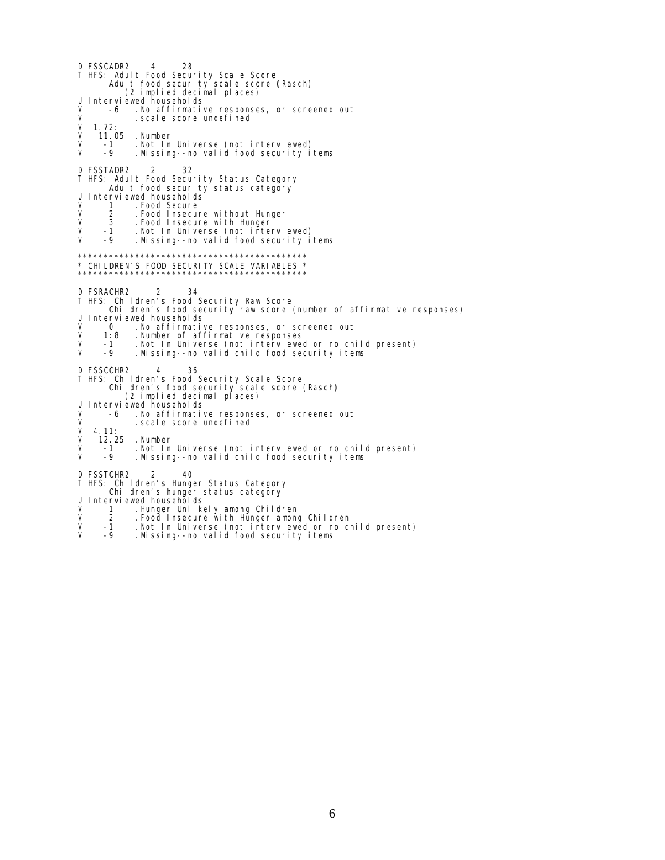D FSSCADR2 4 28 T HFS: Adult Food Security Scale Score Adult food security scale score (Rasch) (2 implied decimal places) U Interviewed households<br>V -6 .No affirmativ V -6 .No affirmative responses, or screened out V .scale score undefined  $V = 1.72:$ <br> $V = 11.0$ V 11.05 .Number V -1 .Not In Universe (not interviewed) V -9 .Missing--no valid food security items D FSSTADR2 2 32 T HFS: Adult Food Security Status Category Adult food security status category U Interviewed households<br>V 1 Food Secure V 1 .Food Secure<br>V 2 .Food Insecur V 2 .Food Insecure without Hunger V 3 .Food Insecure with Hunger V -1 .Not In Universe (not interviewed) Missing--no valid food security items \*\*\*\*\*\*\*\*\*\*\*\*\*\*\*\*\*\*\*\*\*\*\*\*\*\*\*\*\*\*\*\*\*\*\*\*\*\*\*\*\*\*\*\* \* CHILDREN'S FOOD SECURITY SCALE VARIABLES \* \*\*\*\*\*\*\*\*\*\*\*\*\*\*\*\*\*\*\*\*\*\*\*\*\*\*\*\*\*\*\*\*\*\*\*\*\*\*\*\*\*\*\*\* D FSRACHR2 2 34 T HFS: Children's Food Security Raw Score Children's food security raw score (number of affirmative responses) U Interviewed households<br>V 0 .No affirmative V 0 . No affirmative responses, or screened out<br>V 1:8 . Number of affirmative responses V 1:8 .Number of affirmative responses V -1 .Not In Universe (not interviewed or no child present) V -9 .Missing--no valid child food security items D FSSCCHR2 4 36 T HFS: Children's Food Security Scale Score Children's food security scale score (Rasch) (2 implied decimal places) U Interviewed households V -6 . No affirmative responses, or screened out<br>V 4.11: . scal e score undefined  $V = 4.11:$ <br> $V = 12.2$ V 12.25 .Number<br>V -1 .Notln<br>V -9 .Missin V -1 .Not In Universe (not interviewed or no child present) V -9 .Missing--no valid child food security items D FSSTCHR2 2 40 T HFS: Children's Hunger Status Category Children's hunger status category U Interviewed households<br>V 1 Hunger Unlike

- V 1 .Hunger Unlikely among Children<br>V 2 .Food Insecure with Hunger among
- 
- V 2 . Food Insecure with Hunger among Children<br>V -1 . Not In Universe (not interviewed or no cl<br>V -9 . Missing--no valid food security items V -1 .Not In Universe (not interviewed or no child present) V -9 .Missing--no valid food security items
-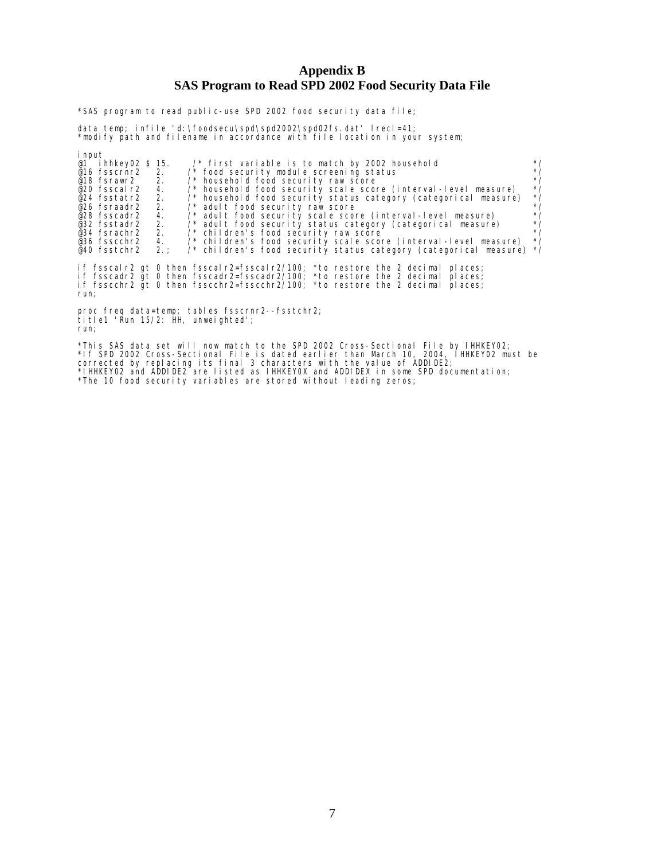## **Appendix B SAS Program to Read SPD 2002 Food Security Data File**

\*SAS program to read public-use SPD 2002 food security data file;

data temp; infile 'd:\foodsecu\spd\spd2002\spd02fs.dat' lrecl=41; \*modify path and filename in accordance with file location in your system;

| i nput                                                                                                                                                                                                                                                                    |              |  |  |  |  |  |
|---------------------------------------------------------------------------------------------------------------------------------------------------------------------------------------------------------------------------------------------------------------------------|--------------|--|--|--|--|--|
| @1 ihhkey02 \$ 15.<br>/* first variable is to match by 2002 household                                                                                                                                                                                                     | $^{\star}$ / |  |  |  |  |  |
| $\prime^*$ food security module screening status<br>@16 fsscrnr2 2.                                                                                                                                                                                                       | $*$ /        |  |  |  |  |  |
| /* household food security raw score<br>@18 fsrawr2 2.                                                                                                                                                                                                                    | $^{\star}$ / |  |  |  |  |  |
| /* household food security scale score (interval-level measure)<br>@20 fsscal r2<br>4.                                                                                                                                                                                    | $^*/$        |  |  |  |  |  |
| $\prime^*$ household food security status category (categorical measure)<br>@24 fsstatr2 2.                                                                                                                                                                               | $^*/$        |  |  |  |  |  |
| $@26$ fsraadr2 2.<br>/* adult food security raw score                                                                                                                                                                                                                     | $^*/$        |  |  |  |  |  |
| /* adult food security scale score (interval-level measure)<br>@28 fsscadr2 4.                                                                                                                                                                                            | $^*/$        |  |  |  |  |  |
| /* adult food security status category (categorical measure)<br>@32 fsstadr2 2.                                                                                                                                                                                           | $^*/$        |  |  |  |  |  |
| @34 fsrachr2 2. /* children's food security raw score                                                                                                                                                                                                                     | $^{\star}$ / |  |  |  |  |  |
| @36 fsscchr2 4. /* children's food security scale score (interval-level measure)                                                                                                                                                                                          | $^{\star}$ / |  |  |  |  |  |
| $\prime$ * children's food security status category (categorical measure) */<br>@40 fsstchr2<br>2.                                                                                                                                                                        |              |  |  |  |  |  |
| if fsscalr2 gt 0 then fsscalr2=fsscalr2/100; *to restore the 2 decimal<br>pl aces;<br>if fsscadr2 qt 0 then fsscadr2=fsscadr2/100; *to restore the 2 decimal<br>pl aces;<br>if fsscchr2 gt 0 then fsscchr2=fsscchr2/100; $*$ to restore the 2 decimal<br>pl aces:<br>run; |              |  |  |  |  |  |
| proc freq data=temp; tables fsscrnr2--fsstchr2;<br>title1 'Run 15/2: HH, unweighted';                                                                                                                                                                                     |              |  |  |  |  |  |

run;

\*This SAS data set will now match to the SPD 2002 Cross-Sectional File by IHHKEY02; \*If SPD 2002 Cross-Sectional File is dated earlier than March 10, 2004, IHHKEY02 must be corrected by replacing its final 3 characters with the value of ADDIDE2; \*IHHKEY02 and ADDIDE2 are listed as IHHKEY0X and ADDIDEX in some SPD documentation; \*The 10 food security variables are stored without leading zeros;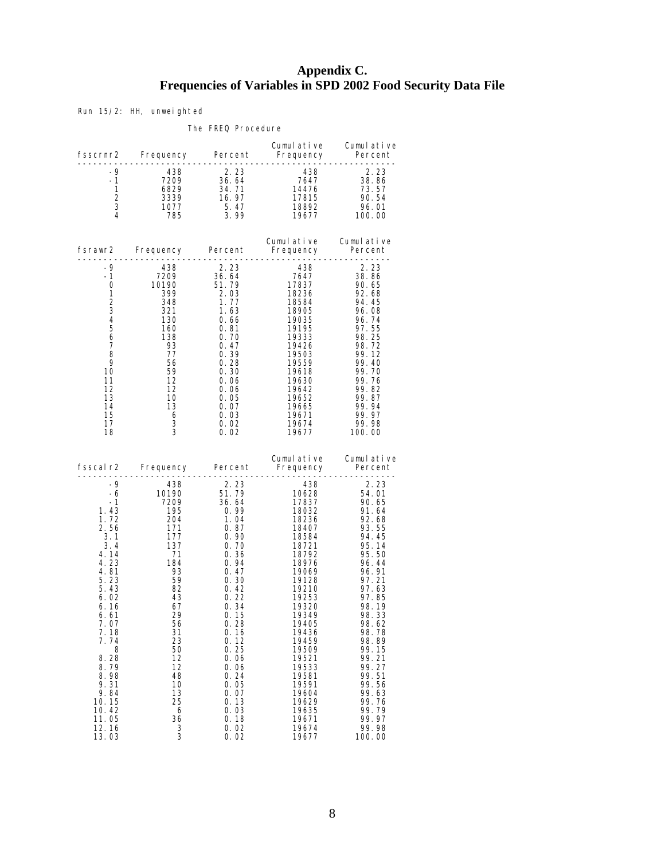# **Appendix C. Frequencies of Variables in SPD 2002 Food Security Data File**

Run 15/2: HH, unweighted

#### The FREQ Procedure

|                                                                                                                                                                                                                                             |                                                                                                                                                                                                                |                                                                                                                                                                                                                                                        |                                                                                                                                                                                                                                                                          | Cumulative Cumulative                                                                                                                                                                                                                                                                  |
|---------------------------------------------------------------------------------------------------------------------------------------------------------------------------------------------------------------------------------------------|----------------------------------------------------------------------------------------------------------------------------------------------------------------------------------------------------------------|--------------------------------------------------------------------------------------------------------------------------------------------------------------------------------------------------------------------------------------------------------|--------------------------------------------------------------------------------------------------------------------------------------------------------------------------------------------------------------------------------------------------------------------------|----------------------------------------------------------------------------------------------------------------------------------------------------------------------------------------------------------------------------------------------------------------------------------------|
| $-9$<br>-1<br>$\mathbf{1}$<br>2<br>3<br>$\overline{4}$                                                                                                                                                                                      |                                                                                                                                                                                                                |                                                                                                                                                                                                                                                        | $\begin{array}{r} - - - - - - - \\ 438 \\ 7647 \\ 14476 \\ 17815 \\ 18892 \\ 196 \end{array}$                                                                                                                                                                            | $\begin{array}{r} 2.23 \\ 38.86 \\ 73.57 \\ 90.54 \\ 96.01 \\ \textbf{100} \end{array}$<br>18892 96.01<br>19677 100.00                                                                                                                                                                 |
|                                                                                                                                                                                                                                             |                                                                                                                                                                                                                | . <u>.</u> .                                                                                                                                                                                                                                           | Cumulative Cumulative<br>Fsrawr2 Frequency Percent Frequency Percent                                                                                                                                                                                                     |                                                                                                                                                                                                                                                                                        |
| -9<br>$-1$<br>0<br>1<br>$\begin{array}{c} 2 \\ 3 \\ 4 \end{array}$<br>$\overline{5}$<br>6<br>7<br>8<br>9<br>10<br>11<br>12<br>13<br>14<br>15<br>17<br>18                                                                                    | 438 2.23<br>7209 36.64<br>10190 51.79<br>300 2.03<br>10190<br>399<br>348<br>321<br>$\frac{130}{160}$<br>138<br>93<br>77<br>- 56<br>59<br>12<br>12<br>10<br>13<br>$\frac{6}{2}$<br>$\mathbf{3}$<br>$\mathbf{3}$ | 2. 03<br>1. 77<br>1. 63<br>0. 66<br>0. 81<br>0. 70<br>0. 47<br>$0.39$<br>0.28<br>0.30<br>$0.06$<br>$0.06$<br>$0.05$<br>$0.07$<br>0.03<br>0.02<br>0.02                                                                                                  | 19333<br>19426<br>19503<br>19559<br>19618<br>19630<br>19642<br>19652<br>19665<br>19671<br>19674<br>19677                                                                                                                                                                 | 2.23<br>2. 23<br>38. 86<br>90. 65<br>92. 68<br>94.45<br>96.08<br>96.74<br>97.55<br>98.25<br>98.72<br>99.12<br>99.40<br>99.70<br>99.76<br>99.82<br>99.87<br>99.94<br>99.97<br>99.98<br>100.00                                                                                           |
|                                                                                                                                                                                                                                             |                                                                                                                                                                                                                |                                                                                                                                                                                                                                                        | Fsscal r2 Frequency Percent Frequency Percent Prequency Percent Prequency Percent Press, 2011                                                                                                                                                                            | Cumulative Cumulative                                                                                                                                                                                                                                                                  |
| $-9$<br>-6<br>$-1$<br>1.43<br>1.72<br>2.56<br>3.1<br>3.4<br>4.14<br>4.23<br>4.81<br>5.23<br>5.43<br>6.02<br>6.16<br>6.61<br>7.07<br>7. 18<br>7.74<br>8<br>8.28<br>8.79<br>8.98<br>9.31<br>9.84<br>10.15<br>10.42<br>11.05<br>12.16<br>13.03 | 438<br>10190<br>190<br>7209<br>195<br>204<br>171<br>177<br>137<br>71<br>$\frac{184}{93}$<br>59<br>82<br>43<br>67<br>29<br>56<br>31<br>23<br>50<br>12<br>12<br>48<br>10<br>13<br>25<br>6<br>36<br>3<br>3        | $2.23$<br>51.79<br>36.64<br>0.99<br>1.04<br>0.87<br>0.90<br>0.70<br>0.36<br>0.94<br>0.47<br>0.30<br>0.42<br>0.22<br>0.34<br>0.15<br>0.28<br>0. 16<br>0.12<br>0.25<br>0. 06<br>0. 06<br>0.24<br>0.05<br>0. 07<br>0.13<br>0. 03<br>0.18<br>0.02<br>0. 02 | 438<br>10628<br>17837<br>18032<br>18236<br>18407<br>18584<br>18721<br>18792<br>18976<br>19069<br>19128<br>19210<br>19253<br>19320<br>19349<br>19405<br>19436<br>19459<br>19509<br>19521<br>19533<br>19581<br>19591<br>19604<br>19629<br>19635<br>19671<br>19674<br>19677 | 2.23<br>2. 23<br>54. 01<br>90. 65<br>91.64<br>92.68<br>93.55<br>94.45<br>95.14<br>95.50<br>96.44<br>96.91<br>97.21<br>97.63<br>97.85<br>98.19<br>98.33<br>98.62<br>98.78<br>98.89<br>99.15<br>99.21<br>99. 27<br>99.51<br>99.56<br>99.63<br>99.76<br>99.79<br>99.97<br>99.98<br>100.00 |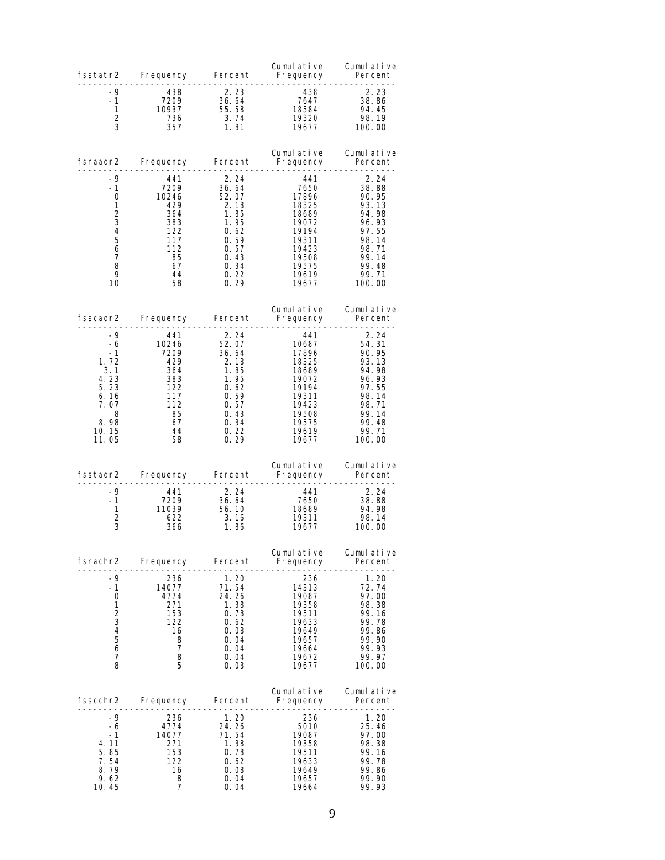| fsstatr2       | Frequency | Percent | Cumulative<br>Frequency | Cumulative<br>Percent |
|----------------|-----------|---------|-------------------------|-----------------------|
| -9             | 438       | 2.23    | 438                     | 2.23                  |
| $-1$           | 7209      | 36.64   | 7647                    | 38.86                 |
| 1              | 10937     | 55.58   | 18584                   | 94.45                 |
| 2              | 736       | 3.74    | 19320                   | 98.19                 |
| 3              | 357       | 1.81    | 19677                   | 100.00                |
| fsraadr2       | Frequency | Percent | Cumulative<br>Frequency | Cumulative<br>Percent |
| -9             | 441       | 2.24    | 441                     | 2.24                  |
| -1             | 7209      | 36.64   | 7650                    | 38.88                 |
| 0              | 10246     | 52.07   | 17896                   | 90.95                 |
| 1              | 429       | 2.18    | 18325                   | 93.13                 |
| $\overline{2}$ | 364       | 1.85    | 18689                   | 94.98                 |
| 3              | 383       | 1.95    | 19072                   | 96.93                 |
| $\overline{4}$ | 122       | 0.62    | 19194                   | 97.55                 |
| 5              | 117       | 0.59    | 19311                   | 98.14                 |
| 6              | 112       | 0.57    | 19423                   | 98.71                 |
| 7              | 85        | 0.43    | 19508                   | 99.14                 |
| 8              | 67        | 0.34    | 19575                   | 99.48                 |
| 9              | 44        | 0.22    | 19619                   | 99.71                 |
| 10             | 58        | 0.29    | 19677                   | 100.00                |
| fsscadr2       | Frequency | Percent | Cumulative<br>Frequency | Cumulative<br>Percent |
| -9             | 441       | 2.24    | -441                    | 2.24                  |
| -6             | 10246     | 52.07   | 10687                   | 54.31                 |
| $-1$           | 7209      | 36.64   | 17896                   | 90.95                 |
| 1.72           | 429       | 2.18    | 18325                   | 93.13                 |
| 3.1            | 364       | 1.85    | 18689                   | 94.98                 |
| 4.23           | 383       | 1.95    | 19072                   | 96.93                 |
| 5.23           | 122       | 0.62    | 19194                   | 97.55                 |
| 6.16           | 117       | 0.59    | 19311                   | 98.14                 |
| 7.07           | 112       | 0.57    | 19423                   | 98.71                 |
| 8              | 85        | 0.43    | 19508                   | 99.14                 |
| 8.98           | 67        | 0.34    | 19575                   | 99.48                 |
| 10.15          | 44        | 0.22    | 19619                   | 99.71                 |
| 11.05          | 58        | 0.29    | 19677                   | 100.00                |
| fsstadr2       | Frequency | Percent | Cumulative<br>Frequency | Cumulative<br>Percent |
| -9             | 441       | 2.24    | -441                    | 2.24                  |
| $-1$           | 7209      | 36.64   | 7650                    | 38.88                 |
| 1              | 11039     | 56.10   | 18689                   | 94.98                 |
| 2              | 622       | 3.16    | 19311                   | 98.14                 |
| 3              | 366       | 1.86    | 19677                   | 100.00                |
| fsrachr2       | Frequency | Percent | Cumulative<br>Frequency | Cumulative<br>Percent |
| -9             | 236       | 1.20    | 236                     | 1.20                  |
| -1             | 14077     | 71.54   | 14313                   | 72.74                 |
| 0              | 4774      | 24.26   | 19087                   | 97.00                 |
| 1              | 271       | 1.38    | 19358                   | 98.38                 |
| $\overline{c}$ | 153       | 0.78    | 19511                   | 99.16                 |
| 3              | 122       | 0.62    | 19633                   | 99.78                 |
| 4              | 16        | 0.08    | 19649                   | 99.86                 |
| 5              | 8         | 0.04    | 19657                   | 99.90                 |
| 6              | 7         | 0.04    | 19664                   | 99.93                 |
| 7              | 8         | 0.04    | 19672                   | 99.97                 |
| 8              | 5         | 0.03    | 19677                   | 100.00                |
| fsscchr2       | Frequency | Percent | Cumulative<br>Frequency | Cumulative<br>Percent |
| -9             | 236       | 1.20    | 236                     | 1.20                  |
| -6             | 4774      | 24.26   | 5010                    | 25.46                 |
| -1             | 14077     | 71.54   | 19087                   | 97.00                 |
| 4.11           | 271       | 1.38    | 19358                   | 98.38                 |
| 5.85           | 153       | 0.78    | 19511                   | 99.16                 |
| 7.54           | 122       | 0.62    | 19633                   | 99.78                 |
| 8.79           | 16        | 0.08    | 19649                   | 99.86                 |
| 9.62           | 8         | 0.04    | 19657                   | 99.90                 |
| 10.45          | 7         | 0.04    | 19664                   | 99.93                 |